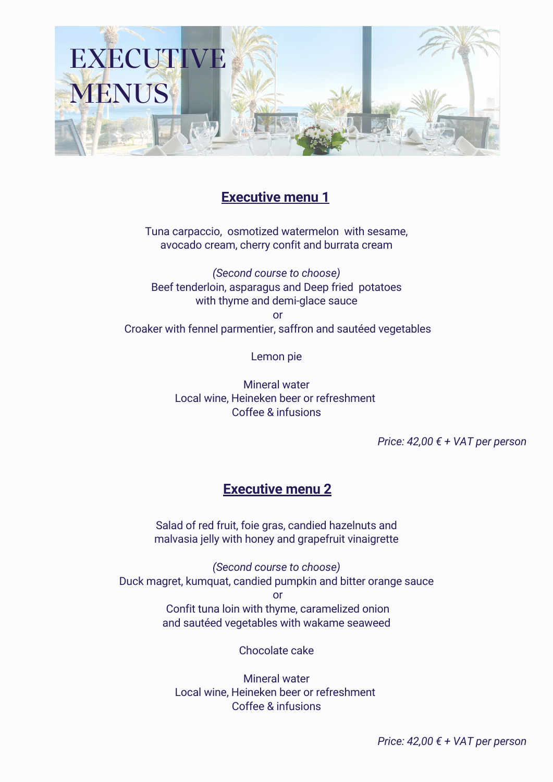

# **Executive menu 1**

Tuna carpaccio, osmotized watermelon with sesame, avocado cream, cherry confit and burrata cream

*(Second course to choose)* Beef tenderloin, asparagus and Deep fried potatoes with thyme and demi-glace sauce or Croaker with fennel parmentier, saffron and sautéed vegetables

Lemon pie

Mineral water Local wine, Heineken beer or refreshment Coffee & infusions

*Price: 42,00 € + VAT per person*

# **Executive menu 2**

Salad of red fruit, foie gras, candied hazelnuts and malvasia jelly with honey and grapefruit vinaigrette

*(Second course to choose)* Duck magret, kumquat, candied pumpkin and bitter orange sauce or Confit tuna loin with thyme, caramelized onion and sautéed vegetables with wakame seaweed

Chocolate cake

Mineral water Local wine, Heineken beer or refreshment Coffee & infusions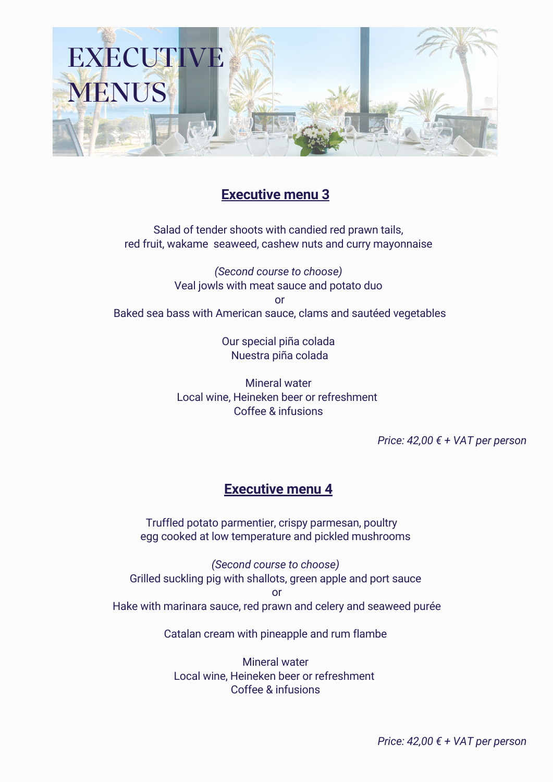

# **Executive menu 3**

Salad of tender shoots with candied red prawn tails, red fruit, wakame seaweed, cashew nuts and curry mayonnaise

*(Second course to choose)* Veal jowls with meat sauce and potato duo or Baked sea bass with American sauce, clams and sautéed vegetables

> Our special piña colada Nuestra piña colada

Mineral water Local wine, Heineken beer or refreshment Coffee & infusions

*Price: 42,00 € + VAT per person*

# **Executive menu 4**

Truffled potato parmentier, crispy parmesan, poultry egg cooked at low temperature and pickled mushrooms

*(Second course to choose)* Grilled suckling pig with shallots, green apple and port sauce or Hake with marinara sauce, red prawn and celery and seaweed purée

Catalan cream with pineapple and rum flambe

Mineral water Local wine, Heineken beer or refreshment Coffee & infusions

*Price: 42,00 € + VAT per person*